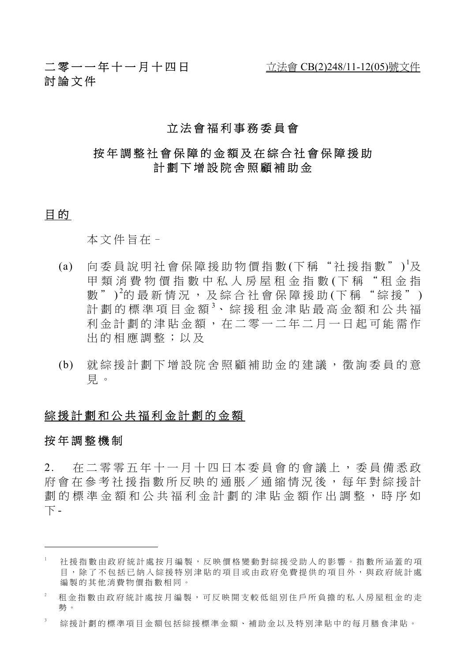# 二零一一年十一月十四日 <u>立法會 CB(2)248/11-12(05)號文件</u> 討論文件

# 立法會福利事務委員會

# 按年調整社會保障的金額及在綜合社會保障援助 計劃下增設院舍照顧補助金

# 目的

本文件旨在–

- (a) 向委員說明社會保障援助物價指數(下稱"社援指數")<sup>1</sup>及 甲類消費物價指數中私人房屋租金指數(下稱"租金指 數")<sup>2</sup>的最新情況,及綜合社會保障援助(下稱"綜援") 計劃的標準項目金額3、綜援租金津貼最高金額和公共福 利金計劃的津貼金額,在二零一二 年二月一日起可能需作 出的相應調整;以及
- (b) 就綜援計劃下增設院舍照顧補助金 的建議,徵詢委員的意 見 。

### 綜援計劃和公共福利金計劃的金額

### 按年調整機制

 $\overline{a}$ 

2. 在二零零五年十一月十四日本委員會的會議上,委員備悉政 府會在參考社援指數所反映的通脹/通縮情況後,每年對綜援計 劃的標準金額和公共福利金計劃的津貼金額作出調整,時序如 下 -

<sup>1</sup> 社援指數由政府統計處按月編製,反映價格變動對綜援受助人的影響。指數所涵蓋的項 目,除了不包括已納入綜援特別津貼的項目或由政府免費提供的項目外,與政府統計處 編製的其他消費物價指數相同。

租金指數由政府統計處按月編製,可反映開支較低組別住戶所負擔的私人房屋租金的走 勢。

<sup>3</sup> 綜援計劃的標準項目金額包括綜援標準金額、補助金以及特別津貼中的每月膳食津貼。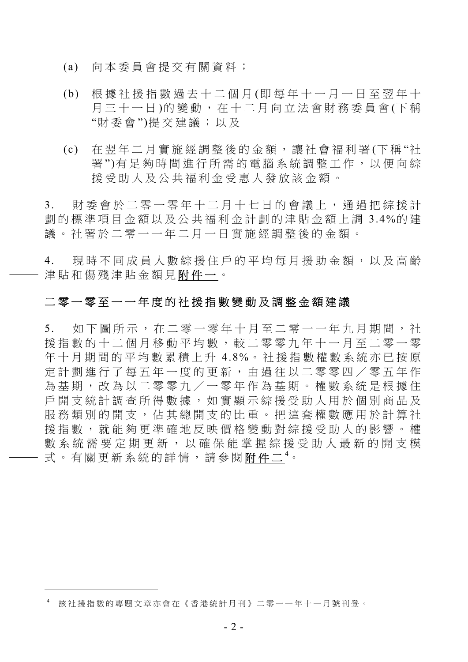- (a) 向本委員會提交有關資料;
- (b) 根據社援指數過去十二個月 (即每年十一月一日至翌年十 月三十一日)的變動,在十二月向立法會財務委員會(下稱 "財委會 ")提交建議;以及
- (c) 在翌年二月實施經調整後的金額,讓社會福利署 (下稱"社 署")有足夠時間進行所需的電腦系統調整工作,以便向綜 援受助人及公共福利金受惠人發放該金額。

3. 財委會於二零一零年十二月十七日的會議上,通過把綜援計 劃的標準項目金額以及公共 福利金計劃的津貼金額上調 3.4%的 建 議。社署於二零一一年二月一日實施經調整後的金額。

4. 現時不同成員人數綜援住戶的平均每月援助金額,以及高齡 津貼和傷殘津貼金額見附件一。

# 二零一零至一一年度的社援指數變動及調整金額建議

5. 如下圖所示,在二零一零年十月至二零一一年九月期間,社 援指數的十二個月移動平均數,較二零零九年十一月至二零一零 年十月期間的平均數累積上升 4.8%。社援指數權數系統亦已按原 定計劃進行了每五年一度的更新,由過往以二零零四/零五年作 為基期,改為以二零零九/一零年作為基期。權數系統是根據住 戶開支統計調查所得數據,如實顯示綜援受助人用於個別商品及 服務類別的開支,佔其總開支的比重。把這套權數應用於計算社 援指數,就能夠更準確地反映價格變動對綜援受助人的影響。權 數系統需要定期更新,以確保能掌握綜援受助人最新的開支模 式。有關更新系統的詳情,請參閱<u>附件二</u><sup>4</sup>。

 $\overline{a}$ 

<sup>4</sup> 該社援指數的專題文章亦會在《香港統計月刊》二零一一年十一月號刊登。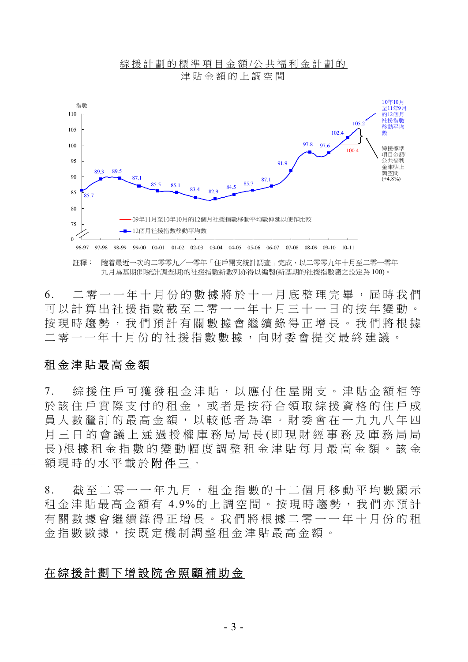

6. 二零一一年十月份的數據將於十一月底整理完畢,屆時我們 可以計算出社援指數截至二零一一年十月三十一日的按年變動。 按現時趨勢,我們預計有關數據會繼續錄得正增長。我們將根據 二零一一年十月份的社援指數數據,向財委會提交最終建議。

## 租金津貼最高金額

7. 綜援住戶可獲發租金津貼,以應付住屋開支。津貼金額相等 於該住戶實際支付的租金,或者是按符合領取綜援資格的住戶成 員人數釐訂的最高金額,以較低者為準。財委會在一九九八年四 月三日的會議上通過授權庫務局局長 (即現財經事務及庫務局局 長 )根據租金指數的變動幅度調整租金 津貼每月最高金額。該金 額現時的水平載於附件三。

8. 截至二零一一年九月,租金指數的十二個月移動平均數顯示 租金津貼最高金額有 4.9%的上調空間。按現時趨勢,我們亦預計 有關數據會繼續錄得正增長。我們將根據二零一一年十月份的租 金指數數據,按既定機制調 整租金津貼最高金額。

## 在綜援計劃下增設院舍照顧補助金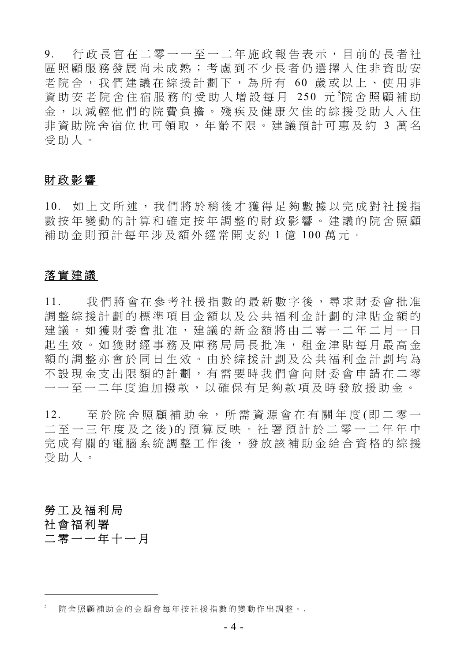9. 行政長官在二零一一至一二年施政報告表示,目前的長者社 區照顧服務發展尚未成熟;考慮到不少長者仍選擇入住非資助安 老院舍,我們建議在綜援計劃下,為所有 60 歲或以上、使用非 資助安老院舍住宿服務的受助人增設每月 250 元 院舍照顧補助 金,以減輕他們的院費負擔。殘疾及健康欠佳的綜援受助人入住 非資助院舍宿位也可領取,年齡不限。建議預計可惠及約 3 萬名 受助人。

# 財政影響

10. 如上文所述,我們將於稍後才獲得足夠數據以完成對社援指 數按年變動的計算和確定按年調整的財政影響。建議的院舍照顧 補助金則預計每年涉及額外經常開支約 1 億 100 萬元。

# 落實建議

11. 我們將會在參考社援指數的最新數字後,尋求財委會批准 調整綜援計劃的標準項目金額以及公共福利金計劃的津貼金額的 建議。如獲財委會批准,建議的新金額將由二零一二年二月一日 起生效。如獲財經事務及庫務局局長批准,租金津貼每月最高金 額的調整亦會於同日生效。由於綜援計劃及公共福利金計劃均為 不設現金支出限額的計劃,有需要時我們會向財委會申請在二零 一一至一二年度追加撥款,以確保有足夠款項及時發放援助金。

12. 至於院舍照顧補助金,所需資源會在有關年度 (即二零一 二至一三年度及之後 )的預算反映。社署預計於二零一二年年中 完成有關的電腦系統調整工作後,發放該補助金給合資格的綜援 受助人。

# 勞工及福利局 社會福利署 二零一一年十一月

 $\overline{a}$ 

<sup>5</sup> 院舍照顧補助金的金額會每年按社援指數的變動作出調整。 *.*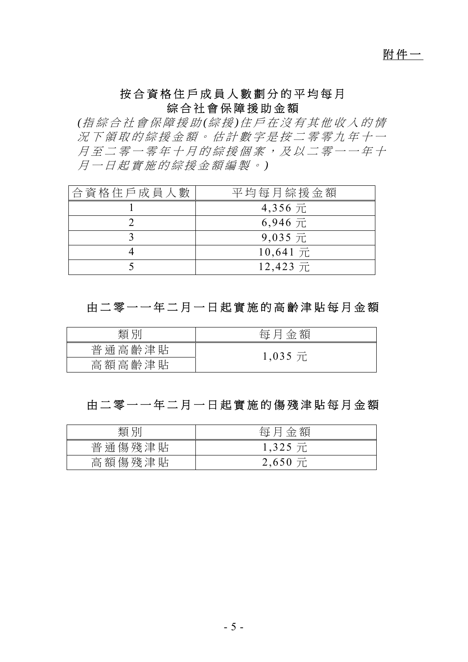# 附件一

# 按合資格住戶成員人數劃分的平均每月 綜合社會保障援助金額

*(*指綜合社會保障援助 *(*綜 援 *)*住戶在沒有其他收入的情 況下領取的綜援金額。估計數字是按二零零九年十一 月至二零一零年十月的綜援個案,及以二零一一年十 月一日起實施的綜援金額編製。 *)* 

| 合資格住戶成員人數 | 平均每月綜援金額   |
|-----------|------------|
|           | 4,356 元    |
|           | $6,946$ 元  |
|           | $9,035$ 元  |
|           | $10,641$ 元 |
|           | 12,423 元   |

# 由二零一一年二月一日起實 施的高齡津貼每月金額

| 類<br>別 | 額<br>金<br>每 |
|--------|-------------|
| 普通高齡津貼 | $1,035$ 元   |
| 高額高齡津貼 |             |

# 由二零一一年二月一日起實 施的傷殘津貼每月金額

| 類別     | 每月金額      |
|--------|-----------|
| 普通傷殘津貼 | $1,325$ 元 |
| 高額傷殘津貼 | $2,650$ 元 |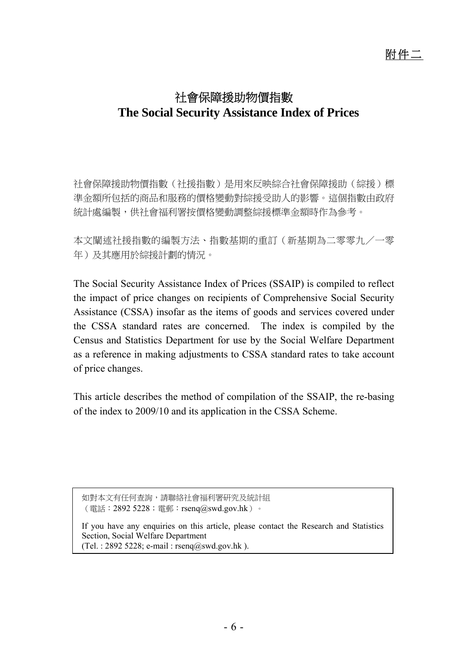# 社會保障援助物價指數 **The Social Security Assistance Index of Prices**

社會保障援助物價指數(社援指數)是用來反映綜合社會保障援助(綜援)標 準金額所包括的商品和服務的價格變動對綜援受助人的影響。這個指數由政府 統計處編製,供社會福利署按價格變動調整綜援標準金額時作為參考。

本文闡述社援指數的編製方法、指數基期的重訂(新基期為二零零九/一零 年)及其應用於綜援計劃的情況。

The Social Security Assistance Index of Prices (SSAIP) is compiled to reflect the impact of price changes on recipients of Comprehensive Social Security Assistance (CSSA) insofar as the items of goods and services covered under the CSSA standard rates are concerned. The index is compiled by the Census and Statistics Department for use by the Social Welfare Department as a reference in making adjustments to CSSA standard rates to take account of price changes.

This article describes the method of compilation of the SSAIP, the re-basing of the index to 2009/10 and its application in the CSSA Scheme.

如對本文有任何查詢,請聯絡社會福利署研究及統計組 (電話: 2892 5228;電郵: rsenq@swd.gov.hk)。

If you have any enquiries on this article, please contact the Research and Statistics Section, Social Welfare Department (Tel. : 2892 5228; e-mail :  $r$ senq $@s$ wd.gov.hk ).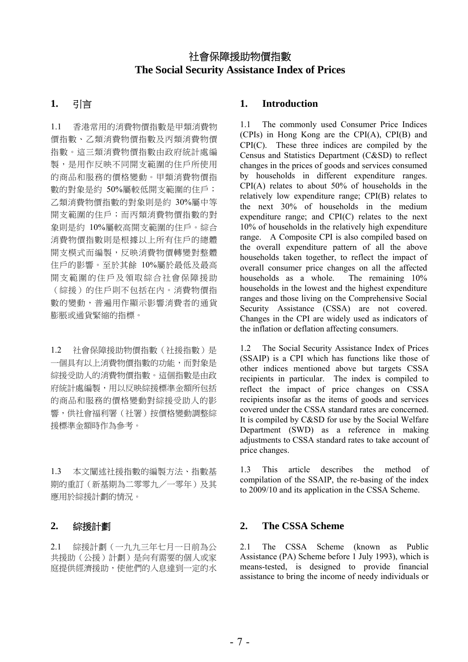# 社會保障援助物價指數 **The Social Security Assistance Index of Prices**

1.1 香港常用的消費物價指數是甲類消費物 價指數、乙類消費物價指數及丙類消費物價 指數。這三類消費物價指數由政府統計處編 製,是用作反映不同開支範圍的住戶所使用 的商品和服務的價格變動。甲類消費物價指 數的對象是約 50%屬較低開支範圍的住戶; 乙類消費物價指數的對象則是約 30%屬中等 開支範圍的住戶;而丙類消費物價指數的對 象則是約 10%屬較高開支範圍的住戶。綜合 消費物價指數則是根據以上所有住戶的總體 開支模式而編製,反映消費物價轉變對整體 住戶的影響。至於其餘 10%屬於最低及最高 開支範圍的住戶及領取綜合社會保障援助 (綜援)的住戶則不包括在內。消費物價指 數的變動,普遍用作顯示影響消費者的通貨 膨脹或通貨緊縮的指標。

1.2 社會保障援助物價指數(社援指數)是 一個具有以上消費物價指數的功能,而對象是 綜援受助人的消費物價指數。這個指數是由政 府統計處編製,用以反映綜援標準金額所包括 的商品和服務的價格變動對綜援受助人的影 響,供社會福利署(社署)按價格變動調整綜 援標準金額時作為參考。

1.3 本文闡述社援指數的編製方法、指數基 期的重訂(新基期為二零零九/一零年)及其 應用於綜援計劃的情況。

2.1 綜援計劃(一九九三年七月一日前為公 共援助(公援)計劃)是向有需要的個人或家 庭提供經濟援助,使他們的入息達到一定的水

## **1.** 引言 **1. Introduction**

1.1 The commonly used Consumer Price Indices (CPIs) in Hong Kong are the CPI(A), CPI(B) and CPI(C). These three indices are compiled by the Census and Statistics Department (C&SD) to reflect changes in the prices of goods and services consumed by households in different expenditure ranges. CPI(A) relates to about 50% of households in the relatively low expenditure range; CPI(B) relates to the next 30% of households in the medium expenditure range; and CPI(C) relates to the next 10% of households in the relatively high expenditure range. A Composite CPI is also compiled based on the overall expenditure pattern of all the above households taken together, to reflect the impact of overall consumer price changes on all the affected households as a whole. The remaining 10% households in the lowest and the highest expenditure ranges and those living on the Comprehensive Social Security Assistance (CSSA) are not covered. Changes in the CPI are widely used as indicators of the inflation or deflation affecting consumers.

1.2 The Social Security Assistance Index of Prices (SSAIP) is a CPI which has functions like those of other indices mentioned above but targets CSSA recipients in particular. The index is compiled to reflect the impact of price changes on CSSA recipients insofar as the items of goods and services covered under the CSSA standard rates are concerned. It is compiled by C&SD for use by the Social Welfare Department (SWD) as a reference in making adjustments to CSSA standard rates to take account of price changes.

1.3 This article describes the method of compilation of the SSAIP, the re-basing of the index to 2009/10 and its application in the CSSA Scheme.

### **2.** 綜援計劃 **2. The CSSA Scheme**

2.1 The CSSA Scheme (known as Public Assistance (PA) Scheme before 1 July 1993), which is means-tested, is designed to provide financial assistance to bring the income of needy individuals or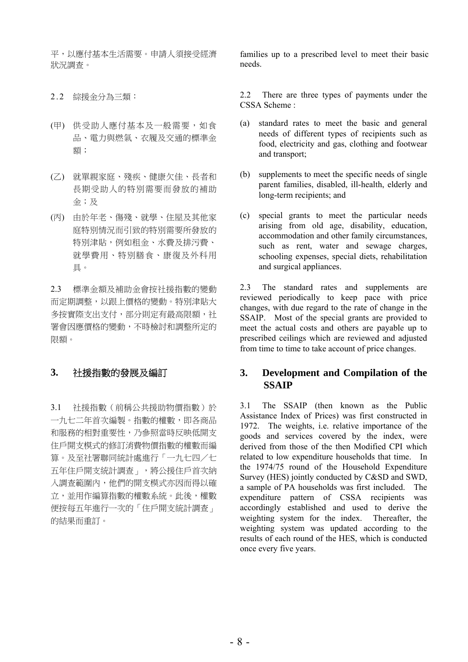平,以應付基本生活需要。申請人須接受經濟 狀況調查。

- (甲) 供受助人應付基本及一般需要,如食 品、電力與燃氣、衣履及交通的標準金 額;
- (乙) 就單親家庭、殘疾、健康欠佳、長者和 長期受助人的特別需要而發放的補助 金;及
- (丙) 由於年老、傷殘、就學、住屋及其他家 庭特別情況而引致的特別需要所發放的 特別津貼,例如租金、水費及排污費、 就學費用、特別膳食、康復及外科用 具。

2.3 標準金額及補助金會按社援指數的變動 而定期調整,以跟上價格的變動。特別津貼大 多按實際支出支付,部分則定有最高限額,社 署會因應價格的變動,不時檢討和調整所定的 限額。

3.1 社援指數(前稱公共援助物價指數)於 一九七二年首次編製。指數的權數,即各商品 和服務的相對重要性,乃參照當時反映低開支 住戶開支模式的修訂消費物價指數的權數而編 算。及至社署聯同統計處進行「一九七四/七 五年住戶開支統計調查」,將公援住戶首次納 入調查範圍內,他們的開支模式亦因而得以確 立,並用作編算指數的權數系統。此後,權數 便按每五年進行一次的「住戶開支統計調查」 的結果而重訂。

families up to a prescribed level to meet their basic needs.

2.2 綜援金分為三類: 2.2 There are three types of payments under the CSSA Scheme :

- (a) standard rates to meet the basic and general needs of different types of recipients such as food, electricity and gas, clothing and footwear and transport;
- (b) supplements to meet the specific needs of single parent families, disabled, ill-health, elderly and long-term recipients; and
- (c) special grants to meet the particular needs arising from old age, disability, education, accommodation and other family circumstances, such as rent, water and sewage charges, schooling expenses, special diets, rehabilitation and surgical appliances.

2.3 The standard rates and supplements are reviewed periodically to keep pace with price changes, with due regard to the rate of change in the SSAIP. Most of the special grants are provided to meet the actual costs and others are payable up to prescribed ceilings which are reviewed and adjusted from time to time to take account of price changes.

### **3.** 社援指數的發展及編訂 **3. Development and Compilation of the SSAIP**

3.1 The SSAIP (then known as the Public Assistance Index of Prices) was first constructed in 1972. The weights, i.e. relative importance of the goods and services covered by the index, were derived from those of the then Modified CPI which related to low expenditure households that time. In the 1974/75 round of the Household Expenditure Survey (HES) jointly conducted by C&SD and SWD, a sample of PA households was first included. The expenditure pattern of CSSA recipients was accordingly established and used to derive the weighting system for the index. Thereafter, the weighting system was updated according to the results of each round of the HES, which is conducted once every five years.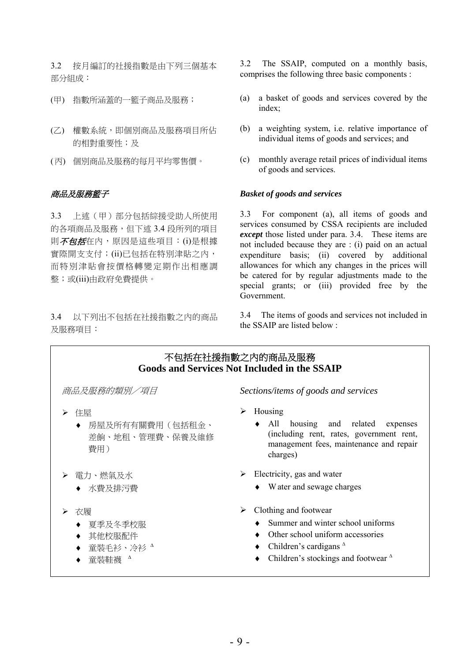3.2 按月編訂的社援指數是由下列三個基本 部分組成:

- 
- (乙) 權數系統,即個別商品及服務項目所佔 的相對重要性;及
- 

3.3 上述(甲)部分包括綜援受助人所使用 的各項商品及服務,但下述 3.4 段所列的項目 則不包括在內,原因是這些項目:(i)是根據 實際開支支付;(ii)已包括在特別津貼之內, 而特別津貼會按價格轉變定期作出相應調 整;或(iii)由政府免費提供。

3.4 以下列出不包括在社援指數之內的商品 及服務項目:

3.2 The SSAIP, computed on a monthly basis, comprises the following three basic components :

- (甲) 指數所涵蓋的一籃子商品及服務; (a) a basket of goods and services covered by the index;
	- (b) a weighting system, i.e. relative importance of individual items of goods and services; and
- (丙) 個別商品及服務的每月平均零售價。 (c) monthly average retail prices of individual items of goods and services.

### 商品及服務籃子 *Basket of goods and services*

3.3 For component (a), all items of goods and services consumed by CSSA recipients are included *except* those listed under para. 3.4. These items are not included because they are : (i) paid on an actual expenditure basis; (ii) covered by additional allowances for which any changes in the prices will be catered for by regular adjustments made to the special grants; or (iii) provided free by the Government.

3.4 The items of goods and services not included in the SSAIP are listed below :

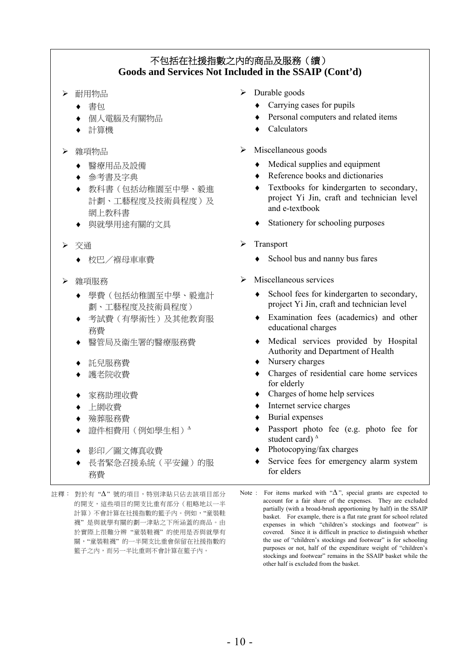# 不包括在社援指數之內的商品及服務(續) **Goods and Services Not Included in the SSAIP (Cont'd)**

- -
	-
	-

- 
- 
- ♦ 教科書(包括幼稚園至中學、毅進 計劃、工藝程度及技術員程度)及 網上教科書
- 
- -
- - ♦ 學費(包括幼稚園至中學、毅進計 劃、工藝程度及技術員程度)
	- ♦ 考試費(有學術性)及其他教育服 務費
	-
	-
	-
	-
	-

i

- 
- 
- 
- ♦ 長者緊急召援系統(平安鐘)的服 務費
- 註釋: 對於有 "∆" 號的項目,特別津貼只佔去該項目部分 的開支,這些項目的開支比重有部分(粗略地以一半 計算)不會計算在社援指數的籃子內。例如,"童裝鞋 襪" 是與就學有關的劃一津貼之下所涵蓋的商品。由 於實際上很難分辨 "童裝鞋襪" 的使用是否與就學有 關,"童裝鞋襪" 的一半開支比重會保留在社援指數的 籃子之內,而另一半比重則不會計算在籃子內。
- **>** 耐用物品 **>** Durable goods
	- ◆ 書句 **◆ Carrying cases for pupils**
	- ◆ 個人雷腦及有關物品<br>◆ Personal computers and related items
		- ♦ 計算機 ♦ Calculators
	- **雜項物品 Miscellaneous goods** 
		- 醫療用品及設備 → → Medical supplies and equipment
		- **◆ Reference books and dictionaries** 
			- Textbooks for kindergarten to secondary, project Yi Jin, craft and technician level and e-textbook
		- ◆ 與就學用途有關的文具 → → Stationery for schooling purposes
- 交通 Transport
	- ◆ 校巴/褓母車車費  **● School bus and nanny bus fares**
- **▶ 雜項服務** 2000年 2000年 2000年 2011年 2012年 2012年 2012年 2012年 2012年 2012年 2012年 2012年 2012年 2013年 2014年 2013年 2014年 2014年 2014年 2014年 2014年 2014年 2014年 2014年 2014年 2014年 2014年 2014年 2014年 2014年 2014年 2014年 2014年 2014年 2014年 2
	- ♦ School fees for kindergarten to secondary, project Yi Jin, craft and technician level
	- ♦ Examination fees (academics) and other educational charges
	- 緊管局及衛生署的醫療服務費 → → Medical services provided by Hospital Authority and Department of Health
	- ♦ 託兒服務費 ♦ Nursery charges
	- 護老院收費 → Charges of residential care home services for elderly
	- ♦ 家務助理收費 ♦ Charges of home help services
	- 上網收費 **↑ Internet service charges**
	- ♦ 殮葬服務費 ♦ Burial expenses
	- 證件相費用(例如學生相)<sup>△</sup> → Passport photo fee (e.g. photo fee for student card) <sup>∆</sup>
	- ◆ 影印/圖文傳真收費 → → Photocopying/fax charges
		- Service fees for emergency alarm system for elders

Note : For items marked with "∆", special grants are expected to account for a fair share of the expenses. They are excluded partially (with a broad-brush apportioning by half) in the SSAIP basket. For example, there is a flat rate grant for school related expenses in which "children's stockings and footwear" is covered. Since it is difficult in practice to distinguish whether the use of "children's stockings and footwear" is for schooling purposes or not, half of the expenditure weight of "children's stockings and footwear" remains in the SSAIP basket while the other half is excluded from the basket.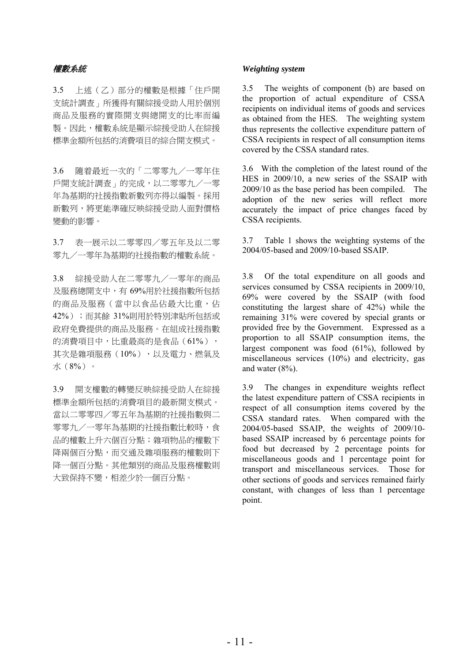3.5 上述(乙)部分的權數是根據「住戶開 支統計調查」所獲得有關綜援受助人用於個別 商品及服務的實際開支與總開支的比率而編 製。因此,權數系統是顯示綜援受助人在綜援 標準金額所包括的消費項目的綜合開支模式。

3.6 隨着最近一次的「二零零九/一零年住 戶開支統計調查」的完成,以二零零九/一零 年為基期的社援指數新數列亦得以編製。採用 新數列,將更能準確反映綜援受助人面對價格 變動的影響。

3.7 表一展示以二零零四/零五年及以二零 零九/一零年為基期的社援指數的權數系統。

3.8 綜援受助人在二零零九/一零年的商品 及服務總開支中,有 69%用於社援指數所包括 的商品及服務(當中以食品佔最大比重,佔 42%);而其餘 31%則用於特別津貼所包括或 政府免費提供的商品及服務。在組成社援指數 的消費項目中,比重最高的是食品(61%), 其次是雜項服務(10%),以及電力、燃氣及 水(8%)。

3.9 開支權數的轉變反映綜援受助人在綜援 標準金額所包括的消費項目的最新開支模式。 當以二零零四/零五年為基期的社援指數與二 零零九/一零年為基期的社援指數比較時,食 品的權數上升六個百分點;雜項物品的權數下 降兩個百分點,而交通及雜項服務的權數則下 降一個百分點。其他類別的商品及服務權數則 大致保持不變,相差少於一個百分點。

### 權數系統 *Weighting system*

3.5 The weights of component (b) are based on the proportion of actual expenditure of CSSA recipients on individual items of goods and services as obtained from the HES. The weighting system thus represents the collective expenditure pattern of CSSA recipients in respect of all consumption items covered by the CSSA standard rates.

3.6 With the completion of the latest round of the HES in 2009/10, a new series of the SSAIP with 2009/10 as the base period has been compiled. The adoption of the new series will reflect more accurately the impact of price changes faced by CSSA recipients.

3.7 Table 1 shows the weighting systems of the 2004/05-based and 2009/10-based SSAIP.

3.8 Of the total expenditure on all goods and services consumed by CSSA recipients in 2009/10, 69% were covered by the SSAIP (with food constituting the largest share of 42%) while the remaining 31% were covered by special grants or provided free by the Government. Expressed as a proportion to all SSAIP consumption items, the largest component was food (61%), followed by miscellaneous services (10%) and electricity, gas and water (8%).

3.9 The changes in expenditure weights reflect the latest expenditure pattern of CSSA recipients in respect of all consumption items covered by the CSSA standard rates. When compared with the 2004/05-based SSAIP, the weights of 2009/10 based SSAIP increased by 6 percentage points for food but decreased by 2 percentage points for miscellaneous goods and 1 percentage point for transport and miscellaneous services. Those for other sections of goods and services remained fairly constant, with changes of less than 1 percentage point.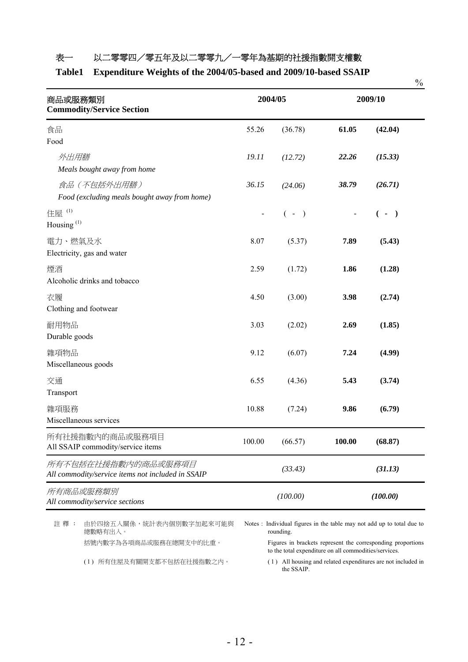## 表一 以二零零四/零五年及以二零零九/一零年為基期的社援指數開支權數

### **Table1 Expenditure Weights of the 2004/05-based and 2009/10-based SSAIP**

|                                                                          |                              |         |         |         | $\%$ |
|--------------------------------------------------------------------------|------------------------------|---------|---------|---------|------|
| 商品或服務類別<br><b>Commodity/Service Section</b>                              | 2004/05                      |         | 2009/10 |         |      |
| 食品<br>Food                                                               | 55.26                        | (36.78) | 61.05   | (42.04) |      |
| 外出用膳<br>Meals bought away from home                                      | 19.11                        | (12.72) | 22.26   | (15.33) |      |
| 食品(不包括外出用膳)<br>Food (excluding meals bought away from home)              | 36.15                        | (24.06) | 38.79   | (26.71) |      |
| 住屋(1)<br>Housing <sup>(1)</sup>                                          | $\qquad \qquad \blacksquare$ | $(-)$   |         | $(-)$   |      |
| 電力、燃氣及水<br>Electricity, gas and water                                    | 8.07                         | (5.37)  | 7.89    | (5.43)  |      |
| 煙酒<br>Alcoholic drinks and tobacco                                       | 2.59                         | (1.72)  | 1.86    | (1.28)  |      |
| 衣履<br>Clothing and footwear                                              | 4.50                         | (3.00)  | 3.98    | (2.74)  |      |
| 耐用物品<br>Durable goods                                                    | 3.03                         | (2.02)  | 2.69    | (1.85)  |      |
| 雜項物品<br>Miscellaneous goods                                              | 9.12                         | (6.07)  | 7.24    | (4.99)  |      |
| 交通<br>Transport                                                          | 6.55                         | (4.36)  | 5.43    | (3.74)  |      |
| 雜項服務<br>Miscellaneous services                                           | 10.88                        | (7.24)  | 9.86    | (6.79)  |      |
| 所有社援指數內的商品或服務項目<br>All SSAIP commodity/service items                     | 100.00                       | (66.57) | 100.00  | (68.87) |      |
| 所有不包括在社援指數内的商品或服務項目<br>All commodity/service items not included in SSAIP |                              | (33.43) |         | (31.13) |      |
| 所有商品或服務類別<br>All commodity/service sections                              | (100.00)<br>(100.00)         |         |         |         |      |

註釋: 由於四捨五入關係,統計表內個別數字加起來可能與 總數略有出入。

Notes : Individual figures in the table may not add up to total due to rounding.

括號內數字為各項商品或服務在總開支中的比重。 Figures in brackets represent the corresponding proportions to the total expenditure on all commodities/services.

(1) 所有住屋及有關開支都不包括在社援指數之內。 ( 1 ) All housing and related expenditures are not included in the SSAIP.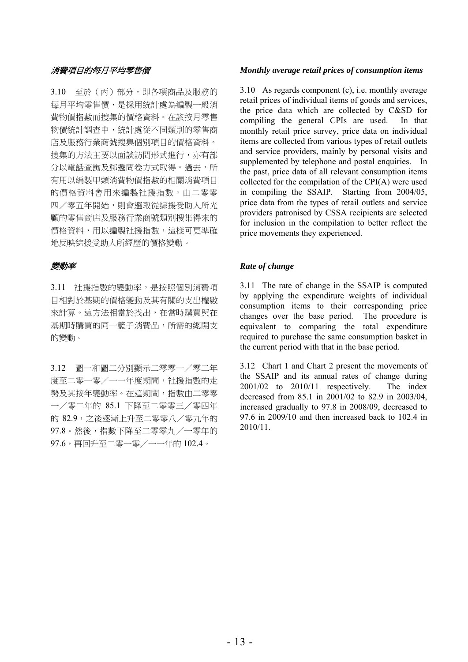3.10 至於(丙)部分,即各項商品及服務的 每月平均零售價,是採用統計處為編製一般消 費物價指數而搜集的價格資料。在該按月零售 物價統計調查中,統計處從不同類別的零售商 店及服務行業商號搜集個別項目的價格資料。 搜集的方法主要以面談訪問形式進行,亦有部 分以電話查詢及郵遞問卷方式取得。過去,所 有用以編製甲類消費物價指數的相關消費項目 的價格資料會用來編製社援指數。由二零零 四/零五年開始,則會選取從綜援受助人所光 顧的零售商店及服務行業商號類別搜集得來的 價格資料,用以編製社援指數,這樣可更準確 地反映綜援受助人所經歷的價格變動。

3.11 社援指數的變動率,是按照個別消費項 目相對於基期的價格變動及其有關的支出權數 來計算。這方法相當於找出,在當時購買與在 基期時購買的同一籃子消費品,所需的總開支 的變動。

3.12 圖一和圖二分別顯示二零零一/零二年 度至二零一零/一一年度期間,社援指數的走 勢及其按年變動率。在這期間,指數由二零零 一/零二年的 85.1 下降至二零零三/零四年 的 82.9,之後逐漸上升至二零零八/零九年的 97.8。然後,指數下降至二零零九/一零年的 97.6,再回升至二零一零/一一年的 102.4。

### 消費項目的每月平均零售價 *Monthly average retail prices of consumption items*

3.10 As regards component (c), i.e. monthly average retail prices of individual items of goods and services, the price data which are collected by C&SD for compiling the general CPIs are used. In that monthly retail price survey, price data on individual items are collected from various types of retail outlets and service providers, mainly by personal visits and supplemented by telephone and postal enquiries. In the past, price data of all relevant consumption items collected for the compilation of the CPI(A) were used in compiling the SSAIP. Starting from 2004/05, price data from the types of retail outlets and service providers patronised by CSSA recipients are selected for inclusion in the compilation to better reflect the price movements they experienced.

### 變動率 *Rate of change*

3.11 The rate of change in the SSAIP is computed by applying the expenditure weights of individual consumption items to their corresponding price changes over the base period. The procedure is equivalent to comparing the total expenditure required to purchase the same consumption basket in the current period with that in the base period.

3.12 Chart 1 and Chart 2 present the movements of the SSAIP and its annual rates of change during 2001/02 to 2010/11 respectively. The index decreased from 85.1 in 2001/02 to 82.9 in 2003/04, increased gradually to 97.8 in 2008/09, decreased to 97.6 in 2009/10 and then increased back to 102.4 in 2010/11.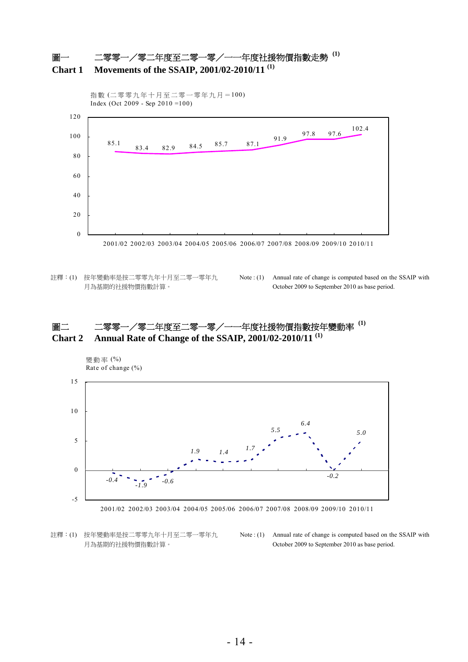



- 註釋:(1) 按年變動率是按二零零九年十月至二零一零年九 月為基期的社援物價指數計算。
- Note : (1) Annual rate of change is computed based on the SSAIP with October 2009 to September 2010 as base period.

# 圖二 二零零一/零二年度至二零一零/一一年度社援物價指數按年變動率 **(1) Chart 2 Annual Rate of Change of the SSAIP, 2001/02-2010/11 (1)**



註釋:(1) 按年變動率是按二零零九年十月至二零一零年九 月為基期的社援物價指數計算。

Note : (1) Annual rate of change is computed based on the SSAIP with October 2009 to September 2010 as base period.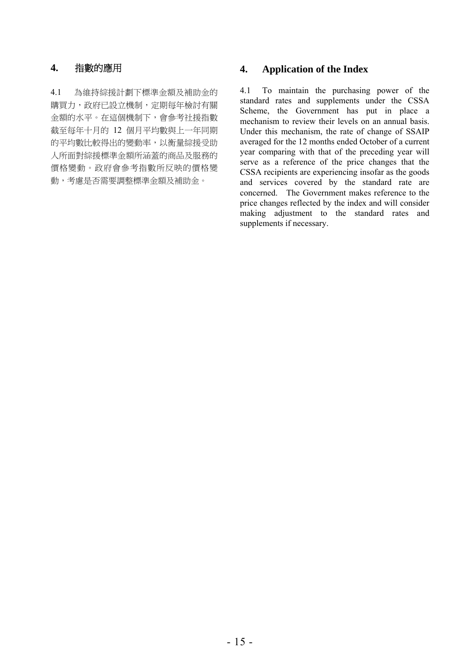4.1 為維持綜援計劃下標準金額及補助金的 購買力,政府已設立機制,定期每年檢討有關 金額的水平。在這個機制下,會參考社援指數 截至每年十月的 12 個月平均數與上一年同期 的平均數比較得出的變動率,以衡量綜援受助 人所面對綜援標準金額所涵蓋的商品及服務的 價格變動。政府會參考指數所反映的價格變 動,考慮是否需要調整標準金額及補助金。

# **4.** 指數的應用 **4. Application of the Index**

4.1 To maintain the purchasing power of the standard rates and supplements under the CSSA Scheme, the Government has put in place a mechanism to review their levels on an annual basis. Under this mechanism, the rate of change of SSAIP averaged for the 12 months ended October of a current year comparing with that of the preceding year will serve as a reference of the price changes that the CSSA recipients are experiencing insofar as the goods and services covered by the standard rate are concerned. The Government makes reference to the price changes reflected by the index and will consider making adjustment to the standard rates and supplements if necessary.